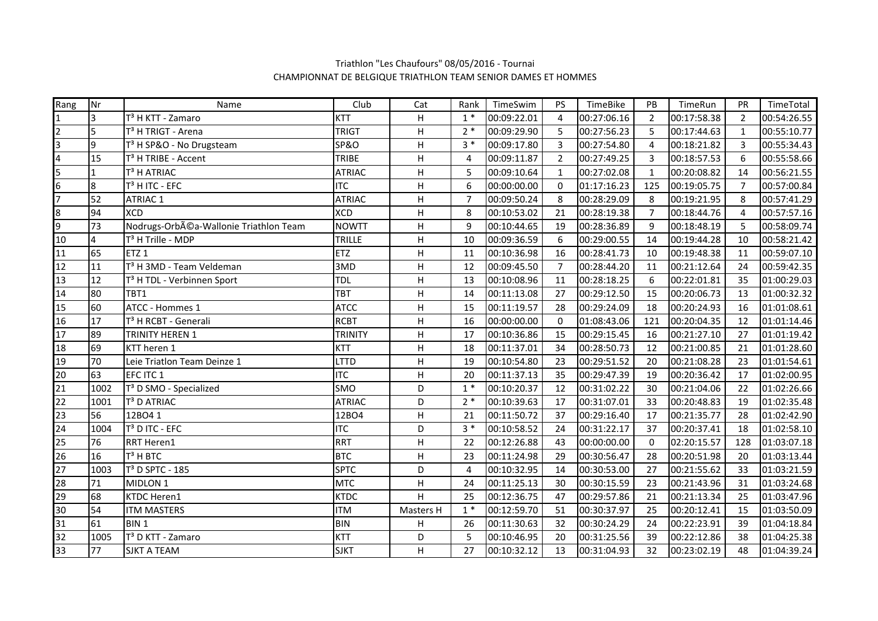| Rang                    | Nr             | Name                                   | Club            | Cat                       | Rank           | TimeSwim    | <b>PS</b>      | TimeBike    | PB             | TimeRun     | PR           | TimeTotal   |
|-------------------------|----------------|----------------------------------------|-----------------|---------------------------|----------------|-------------|----------------|-------------|----------------|-------------|--------------|-------------|
| $\mathbf{1}$            | 3              | T <sup>3</sup> H KTT - Zamaro          | <b>KTT</b>      | H                         | $1*$           | 00:09:22.01 | $\overline{4}$ | 00:27:06.16 | $\overline{2}$ | 00:17:58.38 | 2            | 00:54:26.55 |
| $\overline{2}$          | 5              | T <sup>3</sup> H TRIGT - Arena         | <b>TRIGT</b>    | H                         | $2*$           | 00:09:29.90 | 5              | 00:27:56.23 | 5              | 00:17:44.63 | $\mathbf{1}$ | 00:55:10.77 |
| 3                       | $\overline{9}$ | T <sup>3</sup> H SP&O - No Drugsteam   | <b>SP&amp;O</b> | H.                        | $3*$           | 00:09:17.80 | 3              | 00:27:54.80 | $\overline{4}$ | 00:18:21.82 | 3            | 00:55:34.43 |
| $\overline{\mathbf{4}}$ | 15             | T <sup>3</sup> H TRIBE - Accent        | <b>TRIBE</b>    | H                         | 4              | 00:09:11.87 | $\overline{2}$ | 00:27:49.25 | $\overline{3}$ | 00:18:57.53 | 6            | 00:55:58.66 |
| 5                       | 1              | T <sup>3</sup> H ATRIAC                | <b>ATRIAC</b>   | H                         | 5              | 00:09:10.64 | $\mathbf{1}$   | 00:27:02.08 | $\mathbf{1}$   | 00:20:08.82 | 14           | 00:56:21.55 |
| 6                       | 8              | T <sup>3</sup> H ITC - EFC             | <b>ITC</b>      | H                         | 6              | 00:00:00.00 | 0              | 01:17:16.23 | 125            | 00:19:05.75 | 7            | 00:57:00.84 |
| $\overline{7}$          | 52             | <b>ATRIAC 1</b>                        | <b>ATRIAC</b>   | H                         | $\overline{7}$ | 00:09:50.24 | 8              | 00:28:29.09 | 8              | 00:19:21.95 | 8            | 00:57:41.29 |
| 8                       | 94             | <b>XCD</b>                             | <b>XCD</b>      | H                         | 8              | 00:10:53.02 | 21             | 00:28:19.38 | $\overline{7}$ | 00:18:44.76 | 4            | 00:57:57.16 |
| 9                       | 73             | Nodrugs-Orbéa-Wallonie Triathlon Team  | <b>NOWTT</b>    | $\overline{\mathsf{H}}$   | 9              | 00:10:44.65 | 19             | 00:28:36.89 | 9              | 00:18:48.19 | 5            | 00:58:09.74 |
| 10                      | $\overline{4}$ | T <sup>3</sup> H Trille - MDP          | TRILLE          | H                         | 10             | 00:09:36.59 | 6              | 00:29:00.55 | 14             | 00:19:44.28 | 10           | 00:58:21.42 |
| 11                      | 65             | ETZ <sub>1</sub>                       | <b>ETZ</b>      | $\boldsymbol{\mathsf{H}}$ | 11             | 00:10:36.98 | 16             | 00:28:41.73 | 10             | 00:19:48.38 | 11           | 00:59:07.10 |
| 12                      | 11             | T <sup>3</sup> H 3MD - Team Veldeman   | 3MD             | H                         | 12             | 00:09:45.50 | $\overline{7}$ | 00:28:44.20 | 11             | 00:21:12.64 | 24           | 00:59:42.35 |
| 13                      | 12             | T <sup>3</sup> H TDL - Verbinnen Sport | <b>TDL</b>      | H                         | 13             | 00:10:08.96 | 11             | 00:28:18.25 | 6              | 00:22:01.81 | 35           | 01:00:29.03 |
| 14                      | 80             | TBT1                                   | <b>TBT</b>      | H                         | 14             | 00:11:13.08 | 27             | 00:29:12.50 | 15             | 00:20:06.73 | 13           | 01:00:32.32 |
| 15                      | 60             | ATCC - Hommes 1                        | <b>ATCC</b>     | H                         | 15             | 00:11:19.57 | 28             | 00:29:24.09 | 18             | 00:20:24.93 | 16           | 01:01:08.61 |
| 16                      | 17             | T <sup>3</sup> H RCBT - Generali       | <b>RCBT</b>     | Н                         | 16             | 00:00:00.00 | 0              | 01:08:43.06 | 121            | 00:20:04.35 | 12           | 01:01:14.46 |
| 17                      | 89             | <b>TRINITY HEREN 1</b>                 | <b>TRINITY</b>  | H                         | 17             | 00:10:36.86 | 15             | 00:29:15.45 | 16             | 00:21:27.10 | 27           | 01:01:19.42 |
| 18                      | 69             | KTT heren 1                            | <b>KTT</b>      | H                         | 18             | 00:11:37.01 | 34             | 00:28:50.73 | 12             | 00:21:00.85 | 21           | 01:01:28.60 |
| 19                      | 70             | Leie Triatlon Team Deinze 1            | <b>LTTD</b>     | H                         | 19             | 00:10:54.80 | 23             | 00:29:51.52 | 20             | 00:21:08.28 | 23           | 01:01:54.61 |
| 20                      | 63             | EFC ITC 1                              | <b>ITC</b>      | H                         | 20             | 00:11:37.13 | 35             | 00:29:47.39 | 19             | 00:20:36.42 | 17           | 01:02:00.95 |
| 21                      | 1002           | T <sup>3</sup> D SMO - Specialized     | SMO             | D                         | $1*$           | 00:10:20.37 | 12             | 00:31:02.22 | 30             | 00:21:04.06 | 22           | 01:02:26.66 |
| 22                      | 1001           | T <sup>3</sup> D ATRIAC                | <b>ATRIAC</b>   | D                         | $2*$           | 00:10:39.63 | 17             | 00:31:07.01 | 33             | 00:20:48.83 | 19           | 01:02:35.48 |
| 23                      | 56             | 12BO4 1                                | 12BO4           | H.                        | 21             | 00:11:50.72 | 37             | 00:29:16.40 | 17             | 00:21:35.77 | 28           | 01:02:42.90 |
| 24                      | 1004           | T <sup>3</sup> D ITC - EFC             | <b>ITC</b>      | D                         | $3 *$          | 00:10:58.52 | 24             | 00:31:22.17 | 37             | 00:20:37.41 | 18           | 01:02:58.10 |
| 25                      | 76             | <b>RRT Heren1</b>                      | <b>RRT</b>      | H                         | 22             | 00:12:26.88 | 43             | 00:00:00.00 | $\Omega$       | 02:20:15.57 | 128          | 01:03:07.18 |
| 26                      | 16             | $T3$ H BTC                             | <b>BTC</b>      | $\boldsymbol{\mathsf{H}}$ | 23             | 00:11:24.98 | 29             | 00:30:56.47 | 28             | 00:20:51.98 | 20           | 01:03:13.44 |
| 27                      | 1003           | T <sup>3</sup> D SPTC - 185            | <b>SPTC</b>     | D                         | 4              | 00:10:32.95 | 14             | 00:30:53.00 | 27             | 00:21:55.62 | 33           | 01:03:21.59 |
| 28                      | 71             | MIDLON 1                               | <b>MTC</b>      | H                         | 24             | 00:11:25.13 | 30             | 00:30:15.59 | 23             | 00:21:43.96 | 31           | 01:03:24.68 |
| 29                      | 68             | <b>KTDC Heren1</b>                     | <b>KTDC</b>     | Н                         | 25             | 00:12:36.75 | 47             | 00:29:57.86 | 21             | 00:21:13.34 | 25           | 01:03:47.96 |
| 30                      | 54             | <b>ITM MASTERS</b>                     | <b>ITM</b>      | Masters H                 | $1*$           | 00:12:59.70 | 51             | 00:30:37.97 | 25             | 00:20:12.41 | 15           | 01:03:50.09 |
| 31                      | 61             | BIN <sub>1</sub>                       | <b>BIN</b>      | н                         | 26             | 00:11:30.63 | 32             | 00:30:24.29 | 24             | 00:22:23.91 | 39           | 01:04:18.84 |
| 32                      | 1005           | T <sup>3</sup> D KTT - Zamaro          | <b>KTT</b>      | D                         | 5              | 00:10:46.95 | 20             | 00:31:25.56 | 39             | 00:22:12.86 | 38           | 01:04:25.38 |
| 33                      | 77             | <b>SJKT A TEAM</b>                     | <b>SJKT</b>     | H.                        | 27             | 00:10:32.12 | 13             | 00:31:04.93 | 32             | 00:23:02.19 | 48           | 01:04:39.24 |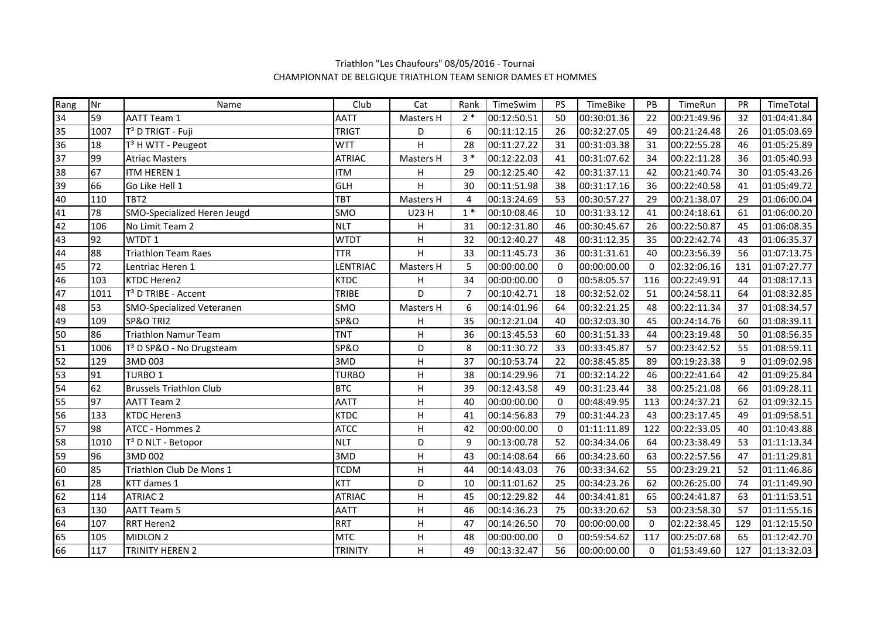| Rang            | Nr   | Name                                 | Club            | Cat          | Rank           | TimeSwim    | <b>PS</b>   | TimeBike    | PB             | TimeRun     | PR  | TimeTotal   |
|-----------------|------|--------------------------------------|-----------------|--------------|----------------|-------------|-------------|-------------|----------------|-------------|-----|-------------|
| 34              | 59   | <b>AATT Team 1</b>                   | <b>AATT</b>     | Masters H    | $2*$           | 00:12:50.51 | 50          | 00:30:01.36 | 22             | 00:21:49.96 | 32  | 01:04:41.84 |
| 35              | 1007 | T <sup>3</sup> D TRIGT - Fuji        | <b>TRIGT</b>    | D            | 6              | 00:11:12.15 | 26          | 00:32:27.05 | 49             | 00:21:24.48 | 26  | 01:05:03.69 |
| 36              | 18   | T <sup>3</sup> H WTT - Peugeot       | <b>WTT</b>      | H            | 28             | 00:11:27.22 | 31          | 00:31:03.38 | 31             | 00:22:55.28 | 46  | 01:05:25.89 |
| $\frac{37}{38}$ | 99   | <b>Atriac Masters</b>                | <b>ATRIAC</b>   | Masters H    | $3 *$          | 00:12:22.03 | 41          | 00:31:07.62 | 34             | 00:22:11.28 | 36  | 01:05:40.93 |
|                 | 67   | ITM HEREN 1                          | <b>ITM</b>      | н            | 29             | 00:12:25.40 | 42          | 00:31:37.11 | 42             | 00:21:40.74 | 30  | 01:05:43.26 |
| $\frac{39}{40}$ | 66   | Go Like Hell 1                       | <b>GLH</b>      | H            | 30             | 00:11:51.98 | 38          | 00:31:17.16 | 36             | 00:22:40.58 | 41  | 01:05:49.72 |
|                 | 110  | TBT <sub>2</sub>                     | TBT             | Masters H    | $\overline{4}$ | 00:13:24.69 | 53          | 00:30:57.27 | 29             | 00:21:38.07 | 29  | 01:06:00.04 |
| 41              | 78   | SMO-Specialized Heren Jeugd          | SMO             | U23 H        | $1*$           | 00:10:08.46 | 10          | 00:31:33.12 | 41             | 00:24:18.61 | 61  | 01:06:00.20 |
| $\frac{42}{43}$ | 106  | No Limit Team 2                      | <b>NLT</b>      | Н            | 31             | 00:12:31.80 | 46          | 00:30:45.67 | 26             | 00:22:50.87 | 45  | 01:06:08.35 |
|                 | 92   | WTDT 1                               | <b>WTDT</b>     | Н            | 32             | 00:12:40.27 | 48          | 00:31:12.35 | 35             | 00:22:42.74 | 43  | 01:06:35.37 |
| 44              | 88   | <b>Triathlon Team Raes</b>           | <b>TTR</b>      | H            | 33             | 00:11:45.73 | 36          | 00:31:31.61 | 40             | 00:23:56.39 | 56  | 01:07:13.75 |
| $\overline{45}$ | 72   | Lentriac Heren 1                     | LENTRIAC        | Masters H    | 5              | 00:00:00.00 | $\pmb{0}$   | 00:00:00.00 | $\mathbf 0$    | 02:32:06.16 | 131 | 01:07:27.77 |
| 46              | 103  | <b>KTDC Heren2</b>                   | <b>KTDC</b>     | н            | 34             | 00:00:00.00 | $\mathbf 0$ | 00:58:05.57 | 116            | 00:22:49.91 | 44  | 01:08:17.13 |
| 47              | 1011 | T <sup>3</sup> D TRIBE - Accent      | TRIBE           | D            | $\overline{7}$ | 00:10:42.71 | 18          | 00:32:52.02 | 51             | 00:24:58.11 | 64  | 01:08:32.85 |
| 48              | 53   | <b>SMO-Specialized Veteranen</b>     | SMO             | Masters H    | 6              | 00:14:01.96 | 64          | 00:32:21.25 | 48             | 00:22:11.34 | 37  | 01:08:34.57 |
| 49              | 109  | SP&O TRI2                            | <b>SP&amp;O</b> | н            | 35             | 00:12:21.04 | 40          | 00:32:03.30 | 45             | 00:24:14.76 | 60  | 01:08:39.11 |
| 50              | 86   | <b>Triathlon Namur Team</b>          | <b>TNT</b>      | $\sf H$      | 36             | 00:13:45.53 | 60          | 00:31:51.33 | 44             | 00:23:19.48 | 50  | 01:08:56.35 |
| 51              | 1006 | T <sup>3</sup> D SP&O - No Drugsteam | <b>SP&amp;O</b> | D            | 8              | 00:11:30.72 | 33          | 00:33:45.87 | 57             | 00:23:42.52 | 55  | 01:08:59.11 |
| 52              | 129  | 3MD 003                              | 3MD             | $\mathsf{H}$ | 37             | 00:10:53.74 | 22          | 00:38:45.85 | 89             | 00:19:23.38 | 9   | 01:09:02.98 |
| 53              | 91   | <b>TURBO1</b>                        | <b>TURBO</b>    | $\sf H$      | 38             | 00:14:29.96 | 71          | 00:32:14.22 | 46             | 00:22:41.64 | 42  | 01:09:25.84 |
| 54              | 62   | <b>Brussels Triathlon Club</b>       | <b>BTC</b>      | $\mathsf{H}$ | 39             | 00:12:43.58 | 49          | 00:31:23.44 | 38             | 00:25:21.08 | 66  | 01:09:28.11 |
| 55              | 97   | <b>AATT Team 2</b>                   | <b>AATT</b>     | $\sf H$      | 40             | 00:00:00.00 | $\mathbf 0$ | 00:48:49.95 | 113            | 00:24:37.21 | 62  | 01:09:32.15 |
| 56              | 133  | <b>KTDC Heren3</b>                   | <b>KTDC</b>     | H            | 41             | 00:14:56.83 | 79          | 00:31:44.23 | 43             | 00:23:17.45 | 49  | 01:09:58.51 |
| 57              | 98   | <b>ATCC - Hommes 2</b>               | <b>ATCC</b>     | H            | 42             | 00:00:00.00 | $\Omega$    | 01:11:11.89 | 122            | 00:22:33.05 | 40  | 01:10:43.88 |
| 58              | 1010 | T <sup>3</sup> D NLT - Betopor       | <b>NLT</b>      | D            | 9              | 00:13:00.78 | 52          | 00:34:34.06 | 64             | 00:23:38.49 | 53  | 01:11:13.34 |
| 59              | 96   | 3MD 002                              | 3MD             | Н            | 43             | 00:14:08.64 | 66          | 00:34:23.60 | 63             | 00:22:57.56 | 47  | 01:11:29.81 |
| 60              | 85   | Triathlon Club De Mons 1             | <b>TCDM</b>     | $\sf H$      | 44             | 00:14:43.03 | 76          | 00:33:34.62 | 55             | 00:23:29.21 | 52  | 01:11:46.86 |
| 61              | 28   | KTT dames 1                          | <b>KTT</b>      | D            | 10             | 00:11:01.62 | 25          | 00:34:23.26 | 62             | 00:26:25.00 | 74  | 01:11:49.90 |
| 62              | 114  | <b>ATRIAC 2</b>                      | <b>ATRIAC</b>   | H            | 45             | 00:12:29.82 | 44          | 00:34:41.81 | 65             | 00:24:41.87 | 63  | 01:11:53.51 |
| 63              | 130  | <b>AATT Team 5</b>                   | <b>AATT</b>     | $\sf H$      | 46             | 00:14:36.23 | 75          | 00:33:20.62 | 53             | 00:23:58.30 | 57  | 01:11:55.16 |
| 64              | 107  | <b>RRT Heren2</b>                    | <b>RRT</b>      | $\sf H$      | 47             | 00:14:26.50 | 70          | 00:00:00.00 | $\overline{0}$ | 02:22:38.45 | 129 | 01:12:15.50 |
| 65              | 105  | MIDLON <sub>2</sub>                  | <b>MTC</b>      | $\sf H$      | 48             | 00:00:00.00 | $\Omega$    | 00:59:54.62 | 117            | 00:25:07.68 | 65  | 01:12:42.70 |
| 66              | 117  | <b>TRINITY HEREN 2</b>               | <b>TRINITY</b>  | H            | 49             | 00:13:32.47 | 56          | 00:00:00.00 | $\mathbf 0$    | 01:53:49.60 | 127 | 01:13:32.03 |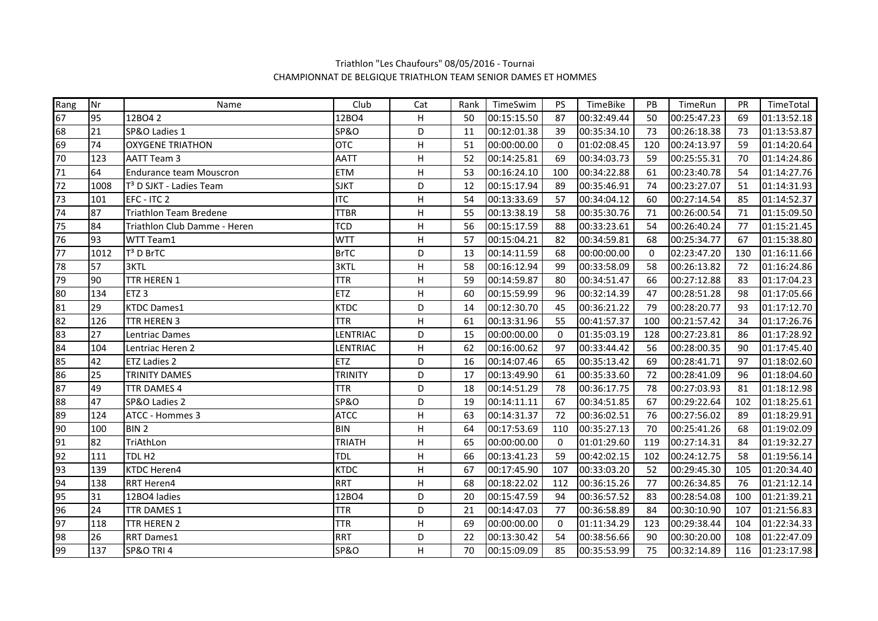| Rang | Nr   | Name                                | Club            | Cat                       | Rank | TimeSwim    | PS.         | TimeBike    | <b>PB</b> | TimeRun     | <b>PR</b> | TimeTotal   |
|------|------|-------------------------------------|-----------------|---------------------------|------|-------------|-------------|-------------|-----------|-------------|-----------|-------------|
| 67   | 95   | 12BO4 2                             | 12BO4           | H                         | 50   | 00:15:15.50 | 87          | 00:32:49.44 | 50        | 00:25:47.23 | 69        | 01:13:52.18 |
| 68   | 21   | SP&O Ladies 1                       | <b>SP&amp;O</b> | D                         | 11   | 00:12:01.38 | 39          | 00:35:34.10 | 73        | 00:26:18.38 | 73        | 01:13:53.87 |
| 69   | 74   | <b>OXYGENE TRIATHON</b>             | <b>OTC</b>      | н                         | 51   | 00:00:00.00 | $\mathbf 0$ | 01:02:08.45 | 120       | 00:24:13.97 | 59        | 01:14:20.64 |
| 70   | 123  | AATT Team 3                         | AATT            | $\mathsf{H}$              | 52   | 00:14:25.81 | 69          | 00:34:03.73 | 59        | 00:25:55.31 | 70        | 01:14:24.86 |
| 71   | 64   | <b>Endurance team Mouscron</b>      | <b>ETM</b>      | H                         | 53   | 00:16:24.10 | 100         | 00:34:22.88 | 61        | 00:23:40.78 | 54        | 01:14:27.76 |
| 72   | 1008 | T <sup>3</sup> D SJKT - Ladies Team | <b>SJKT</b>     | D                         | 12   | 00:15:17.94 | 89          | 00:35:46.91 | 74        | 00:23:27.07 | 51        | 01:14:31.93 |
| 73   | 101  | EFC - ITC 2                         | <b>ITC</b>      | H                         | 54   | 00:13:33.69 | 57          | 00:34:04.12 | 60        | 00:27:14.54 | 85        | 01:14:52.37 |
| 74   | 87   | <b>Triathlon Team Bredene</b>       | <b>TTBR</b>     | H                         | 55   | 00:13:38.19 | 58          | 00:35:30.76 | 71        | 00:26:00.54 | 71        | 01:15:09.50 |
| 75   | 84   | Triathlon Club Damme - Heren        | <b>TCD</b>      | H                         | 56   | 00:15:17.59 | 88          | 00:33:23.61 | 54        | 00:26:40.24 | 77        | 01:15:21.45 |
| 76   | 93   | WTT Team1                           | <b>WTT</b>      | Н                         | 57   | 00:15:04.21 | 82          | 00:34:59.81 | 68        | 00:25:34.77 | 67        | 01:15:38.80 |
| 77   | 1012 | T <sup>3</sup> D BrTC               | <b>BrTC</b>     | D                         | 13   | 00:14:11.59 | 68          | 00:00:00.00 | $\Omega$  | 02:23:47.20 | 130       | 01:16:11.66 |
| 78   | 57   | 3KTL                                | 3KTL            | H                         | 58   | 00:16:12.94 | 99          | 00:33:58.09 | 58        | 00:26:13.82 | 72        | 01:16:24.86 |
| 79   | 90   | TTR HEREN 1                         | <b>TTR</b>      | H                         | 59   | 00:14:59.87 | 80          | 00:34:51.47 | 66        | 00:27:12.88 | 83        | 01:17:04.23 |
| 80   | 134  | ETZ <sub>3</sub>                    | <b>ETZ</b>      | Н                         | 60   | 00:15:59.99 | 96          | 00:32:14.39 | 47        | 00:28:51.28 | 98        | 01:17:05.66 |
| 81   | 29   | <b>KTDC Dames1</b>                  | <b>KTDC</b>     | D                         | 14   | 00:12:30.70 | 45          | 00:36:21.22 | 79        | 00:28:20.77 | 93        | 01:17:12.70 |
| 82   | 126  | TTR HEREN 3                         | <b>TTR</b>      | Н                         | 61   | 00:13:31.96 | 55          | 00:41:57.37 | 100       | 00:21:57.42 | 34        | 01:17:26.76 |
| 83   | 27   | Lentriac Dames                      | LENTRIAC        | D                         | 15   | 00:00:00.00 | $\pmb{0}$   | 01:35:03.19 | 128       | 00:27:23.81 | 86        | 01:17:28.92 |
| 84   | 104  | Lentriac Heren 2                    | LENTRIAC        | H                         | 62   | 00:16:00.62 | 97          | 00:33:44.42 | 56        | 00:28:00.35 | 90        | 01:17:45.40 |
| 85   | 42   | <b>ETZ Ladies 2</b>                 | <b>ETZ</b>      | D                         | 16   | 00:14:07.46 | 65          | 00:35:13.42 | 69        | 00:28:41.71 | 97        | 01:18:02.60 |
| 86   | 25   | <b>TRINITY DAMES</b>                | <b>TRINITY</b>  | D                         | 17   | 00:13:49.90 | 61          | 00:35:33.60 | 72        | 00:28:41.09 | 96        | 01:18:04.60 |
| 87   | 49   | TTR DAMES 4                         | <b>TTR</b>      | D                         | 18   | 00:14:51.29 | 78          | 00:36:17.75 | 78        | 00:27:03.93 | 81        | 01:18:12.98 |
| 88   | 47   | SP&O Ladies 2                       | <b>SP&amp;O</b> | D                         | 19   | 00:14:11.11 | 67          | 00:34:51.85 | 67        | 00:29:22.64 | 102       | 01:18:25.61 |
| 89   | 124  | ATCC - Hommes 3                     | <b>ATCC</b>     | H.                        | 63   | 00:14:31.37 | 72          | 00:36:02.51 | 76        | 00:27:56.02 | 89        | 01:18:29.91 |
| 90   | 100  | BIN <sub>2</sub>                    | <b>BIN</b>      | н                         | 64   | 00:17:53.69 | 110         | 00:35:27.13 | 70        | 00:25:41.26 | 68        | 01:19:02.09 |
| 91   | 82   | TriAthLon                           | <b>TRIATH</b>   | $\mathsf{H}$              | 65   | 00:00:00.00 | 0           | 01:01:29.60 | 119       | 00:27:14.31 | 84        | 01:19:32.27 |
| 92   | 111  | TDL H <sub>2</sub>                  | <b>TDL</b>      | H                         | 66   | 00:13:41.23 | 59          | 00:42:02.15 | 102       | 00:24:12.75 | 58        | 01:19:56.14 |
| 93   | 139  | <b>KTDC Heren4</b>                  | <b>KTDC</b>     | Н                         | 67   | 00:17:45.90 | 107         | 00:33:03.20 | 52        | 00:29:45.30 | 105       | 01:20:34.40 |
| 94   | 138  | <b>RRT Heren4</b>                   | <b>RRT</b>      | H                         | 68   | 00:18:22.02 | 112         | 00:36:15.26 | 77        | 00:26:34.85 | 76        | 01:21:12.14 |
| 95   | 31   | 12BO4 ladies                        | 12BO4           | D                         | 20   | 00:15:47.59 | 94          | 00:36:57.52 | 83        | 00:28:54.08 | 100       | 01:21:39.21 |
| 96   | 24   | TTR DAMES 1                         | <b>TTR</b>      | D                         | 21   | 00:14:47.03 | 77          | 00:36:58.89 | 84        | 00:30:10.90 | 107       | 01:21:56.83 |
| 97   | 118  | TTR HEREN 2                         | <b>TTR</b>      | $\boldsymbol{\mathsf{H}}$ | 69   | 00:00:00.00 | $\mathbf 0$ | 01:11:34.29 | 123       | 00:29:38.44 | 104       | 01:22:34.33 |
| 98   | 26   | <b>RRT Dames1</b>                   | <b>RRT</b>      | D                         | 22   | 00:13:30.42 | 54          | 00:38:56.66 | 90        | 00:30:20.00 | 108       | 01:22:47.09 |
| 99   | 137  | SP&O TRI 4                          | <b>SP&amp;O</b> | H                         | 70   | 00:15:09.09 | 85          | 00:35:53.99 | 75        | 00:32:14.89 | 116       | 01:23:17.98 |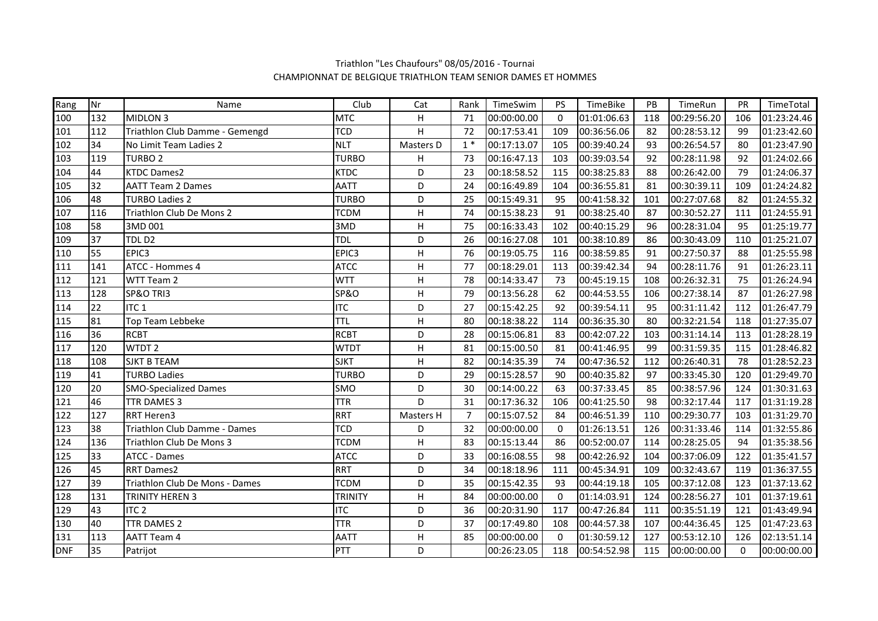| Rang       | Nr  | Name                           | Club            | Cat            | Rank           | TimeSwim    | <b>PS</b> | TimeBike    | PB  | TimeRun     | PR           | TimeTotal   |
|------------|-----|--------------------------------|-----------------|----------------|----------------|-------------|-----------|-------------|-----|-------------|--------------|-------------|
| 100        | 132 | MIDLON 3                       | <b>MTC</b>      | H              | 71             | 00:00:00.00 | $\Omega$  | 01:01:06.63 | 118 | 00:29:56.20 | 106          | 01:23:24.46 |
| 101        | 112 | Triathlon Club Damme - Gemengd | <b>TCD</b>      | H              | 72             | 00:17:53.41 | 109       | 00:36:56.06 | 82  | 00:28:53.12 | 99           | 01:23:42.60 |
| 102        | 34  | No Limit Team Ladies 2         | <b>NLT</b>      | Masters D      | $1*$           | 00:17:13.07 | 105       | 00:39:40.24 | 93  | 00:26:54.57 | 80           | 01:23:47.90 |
| 103        | 119 | <b>TURBO 2</b>                 | <b>TURBO</b>    | Н              | 73             | 00:16:47.13 | 103       | 00:39:03.54 | 92  | 00:28:11.98 | 92           | 01:24:02.66 |
| 104        | 44  | <b>KTDC Dames2</b>             | <b>KTDC</b>     | D              | 23             | 00:18:58.52 | 115       | 00:38:25.83 | 88  | 00:26:42.00 | 79           | 01:24:06.37 |
| 105        | 32  | <b>AATT Team 2 Dames</b>       | <b>AATT</b>     | D              | 24             | 00:16:49.89 | 104       | 00:36:55.81 | 81  | 00:30:39.11 | 109          | 01:24:24.82 |
| 106        | 48  | <b>TURBO Ladies 2</b>          | <b>TURBO</b>    | D              | 25             | 00:15:49.31 | 95        | 00:41:58.32 | 101 | 00:27:07.68 | 82           | 01:24:55.32 |
| 107        | 116 | Triathlon Club De Mons 2       | <b>TCDM</b>     | Н              | 74             | 00:15:38.23 | 91        | 00:38:25.40 | 87  | 00:30:52.27 | 111          | 01:24:55.91 |
| 108        | 58  | 3MD 001                        | 3MD             | Н              | 75             | 00:16:33.43 | 102       | 00:40:15.29 | 96  | 00:28:31.04 | 95           | 01:25:19.77 |
| 109        | 37  | TDLD <sub>2</sub>              | <b>TDL</b>      | D              | 26             | 00:16:27.08 | 101       | 00:38:10.89 | 86  | 00:30:43.09 | 110          | 01:25:21.07 |
| 110        | 55  | EPIC3                          | EPIC3           | $\sf H$        | 76             | 00:19:05.75 | 116       | 00:38:59.85 | 91  | 00:27:50.37 | 88           | 01:25:55.98 |
| 111        | 141 | ATCC - Hommes 4                | <b>ATCC</b>     | H              | 77             | 00:18:29.01 | 113       | 00:39:42.34 | 94  | 00:28:11.76 | 91           | 01:26:23.11 |
| 112        | 121 | WTT Team 2                     | <b>WTT</b>      | Н              | 78             | 00:14:33.47 | 73        | 00:45:19.15 | 108 | 00:26:32.31 | 75           | 01:26:24.94 |
| 113        | 128 | SP&O TRI3                      | <b>SP&amp;O</b> | Н              | 79             | 00:13:56.28 | 62        | 00:44:53.55 | 106 | 00:27:38.14 | 87           | 01:26:27.98 |
| 114        | 22  | ITC <sub>1</sub>               | <b>ITC</b>      | D              | 27             | 00:15:42.25 | 92        | 00:39:54.11 | 95  | 00:31:11.42 | 112          | 01:26:47.79 |
| 115        | 81  | Top Team Lebbeke               | <b>TTL</b>      | $\sf H$        | 80             | 00:18:38.22 | 114       | 00:36:35.30 | 80  | 00:32:21.54 | 118          | 01:27:35.07 |
| 116        | 36  | <b>RCBT</b>                    | <b>RCBT</b>     | D              | 28             | 00:15:06.81 | 83        | 00:42:07.22 | 103 | 00:31:14.14 | 113          | 01:28:28.19 |
| 117        | 120 | WTDT <sub>2</sub>              | <b>WTDT</b>     | Н              | 81             | 00:15:00.50 | 81        | 00:41:46.95 | 99  | 00:31:59.35 | 115          | 01:28:46.82 |
| 118        | 108 | <b>SJKT B TEAM</b>             | <b>SJKT</b>     | Н              | 82             | 00:14:35.39 | 74        | 00:47:36.52 | 112 | 00:26:40.31 | 78           | 01:28:52.23 |
| 119        | 41  | <b>TURBO Ladies</b>            | <b>TURBO</b>    | D              | 29             | 00:15:28.57 | 90        | 00:40:35.82 | 97  | 00:33:45.30 | 120          | 01:29:49.70 |
| 120        | 20  | <b>SMO-Specialized Dames</b>   | SMO             | D              | 30             | 00:14:00.22 | 63        | 00:37:33.45 | 85  | 00:38:57.96 | 124          | 01:30:31.63 |
| 121        | 46  | TTR DAMES 3                    | <b>TTR</b>      | $\overline{D}$ | 31             | 00:17:36.32 | 106       | 00:41:25.50 | 98  | 00:32:17.44 | 117          | 01:31:19.28 |
| 122        | 127 | RRT Heren3                     | <b>RRT</b>      | Masters H      | $\overline{7}$ | 00:15:07.52 | 84        | 00:46:51.39 | 110 | 00:29:30.77 | 103          | 01:31:29.70 |
| 123        | 38  | Triathlon Club Damme - Dames   | <b>TCD</b>      | D              | 32             | 00:00:00.00 | 0         | 01:26:13.51 | 126 | 00:31:33.46 | 114          | 01:32:55.86 |
| 124        | 136 | Triathlon Club De Mons 3       | <b>TCDM</b>     | н              | 83             | 00:15:13.44 | 86        | 00:52:00.07 | 114 | 00:28:25.05 | 94           | 01:35:38.56 |
| 125        | 33  | ATCC - Dames                   | ATCC            | D              | 33             | 00:16:08.55 | 98        | 00:42:26.92 | 104 | 00:37:06.09 | 122          | 01:35:41.57 |
| 126        | 45  | <b>RRT Dames2</b>              | <b>RRT</b>      | D              | 34             | 00:18:18.96 | 111       | 00:45:34.91 | 109 | 00:32:43.67 | 119          | 01:36:37.55 |
| 127        | 39  | Triathlon Club De Mons - Dames | <b>TCDM</b>     | D              | 35             | 00:15:42.35 | 93        | 00:44:19.18 | 105 | 00:37:12.08 | 123          | 01:37:13.62 |
| 128        | 131 | TRINITY HEREN 3                | <b>TRINITY</b>  | Н              | 84             | 00:00:00.00 | $\Omega$  | 01:14:03.91 | 124 | 00:28:56.27 | 101          | 01:37:19.61 |
| 129        | 43  | ITC <sub>2</sub>               | <b>ITC</b>      | D              | 36             | 00:20:31.90 | 117       | 00:47:26.84 | 111 | 00:35:51.19 | 121          | 01:43:49.94 |
| 130        | 40  | TTR DAMES 2                    | <b>TTR</b>      | D              | 37             | 00:17:49.80 | 108       | 00:44:57.38 | 107 | 00:44:36.45 | 125          | 01:47:23.63 |
| 131        | 113 | <b>AATT Team 4</b>             | <b>AATT</b>     | Н              | 85             | 00:00:00.00 | 0         | 01:30:59.12 | 127 | 00:53:12.10 | 126          | 02:13:51.14 |
| <b>DNF</b> | 35  | Patrijot                       | PTT             | D              |                | 00:26:23.05 | 118       | 00:54:52.98 | 115 | 00:00:00.00 | $\mathbf{0}$ | 00:00:00.00 |